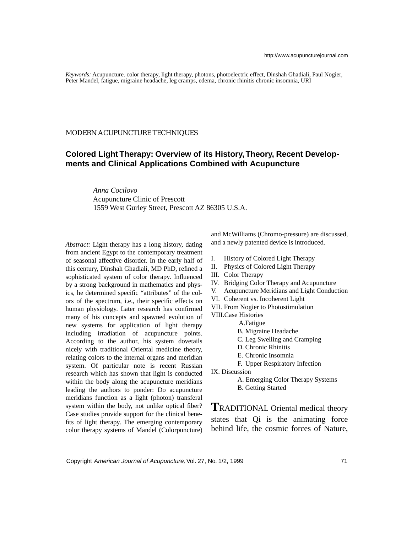*Keywords:* Acupuncture. color therapy, light therapy, photons, photoelectric effect, Dinshah Ghadiali, Paul Nogier, Peter Mandel, fatigue, migraine headache, leg cramps, edema, chronic rhinitis chronic insomnia, URI

#### MODERN ACUPUNCTURE TECHNIQUES

## **Colored Light Therapy: Overview of its History, Theory, Recent Developments and Clinical Applications Combined with Acupuncture**

 *Anna Cocilovo* Acupuncture Clinic of Prescott 1559 West Gurley Street, Prescott AZ 86305 U.S.A.

*Abstract:* Light therapy has a long history, dating from ancient Egypt to the contemporary treatment of seasonal affective disorder. In the early half of this century, Dinshah Ghadiali, MD PhD, refined a sophisticated system of color therapy. Influenced by a strong background in mathematics and physics, he determined specific "attributes" of the colors of the spectrum, i.e., their specific effects on human physiology. Later research has confirmed many of his concepts and spawned evolution of new systems for application of light therapy including irradiation of acupuncture points. According to the author, his system dovetails nicely with traditional Oriental medicine theory, relating colors to the internal organs and meridian system. Of particular note is recent Russian research which has shown that light is conducted within the body along the acupuncture meridians leading the authors to ponder: Do acupuncture meridians function as a light (photon) transferal system within the body, not unlike optical fiber? Case studies provide support for the clinical benefits of light therapy. The emerging contemporary color therapy systems of Mandel (Colorpuncture) and McWilliams (Chromo-pressure) are discussed, and a newly patented device is introduced.

- I. History of Colored Light Therapy
- II. Physics of Colored Light Therapy
- III. Color Therapy
- IV. Bridging Color Therapy and Acupuncture
- V. Acupuncture Meridians and Light Conduction
- VI. Coherent vs. Incoherent Light
- VII. From Nogier to Photostimulation
- VIII.Case Histories
	- A.Fatigue
	- B. Migraine Headache
	- C. Leg Swelling and Cramping
	- D. Chronic Rhinitis
	- E. Chronic Insomnia
	- F. Upper Respiratory Infection
- IX. Discussion

A. Emerging Color Therapy Systems

B. Getting Started

**T**RADITIONAL Oriental medical theory states that Qi is the animating force behind life, the cosmic forces of Nature,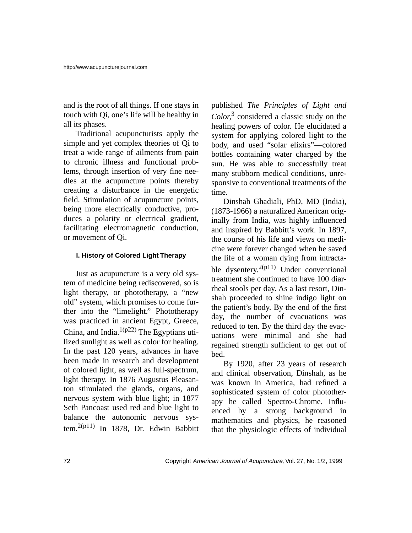and is the root of all things. If one stays in touch with Qi, one's life will be healthy in all its phases.

Traditional acupuncturists apply the simple and yet complex theories of Qi to treat a wide range of ailments from pain to chronic illness and functional problems, through insertion of very fine needles at the acupuncture points thereby creating a disturbance in the energetic field. Stimulation of acupuncture points, being more electrically conductive, produces a polarity or electrical gradient, facilitating electromagnetic conduction, or movement of Qi.

## **I. History of Colored Light Therapy**

Just as acupuncture is a very old system of medicine being rediscovered, so is light therapy, or phototherapy, a "new old" system, which promises to come further into the "limelight." Phototherapy was practiced in ancient Egypt, Greece, China, and India. $1(p22)$  The Egyptians utilized sunlight as well as color for healing. In the past 120 years, advances in have been made in research and development of colored light, as well as full-spectrum, light therapy. In 1876 Augustus Pleasanton stimulated the glands, organs, and nervous system with blue light; in 1877 Seth Pancoast used red and blue light to balance the autonomic nervous system.<sup>2(p11)</sup> In 1878, Dr. Edwin Babbitt published *The Principles of Light and Color,*3 considered a classic study on the healing powers of color. He elucidated a system for applying colored light to the body, and used "solar elixirs"—colored bottles containing water charged by the sun. He was able to successfully treat many stubborn medical conditions, unresponsive to conventional treatments of the time.

Dinshah Ghadiali, PhD, MD (India), (1873-1966) a naturalized American originally from India, was highly influenced and inspired by Babbitt's work. In 1897, the course of his life and views on medicine were forever changed when he saved the life of a woman dying from intractable dysentery.<sup>2(p11)</sup> Under conventional treatment she continued to have 100 diarrheal stools per day. As a last resort, Dinshah proceeded to shine indigo light on the patient's body. By the end of the first day, the number of evacuations was reduced to ten. By the third day the evacuations were minimal and she had regained strength sufficient to get out of bed.

By 1920, after 23 years of research and clinical observation, Dinshah, as he was known in America, had refined a sophisticated system of color phototherapy he called Spectro-Chrome. Influenced by a strong background in mathematics and physics, he reasoned that the physiologic effects of individual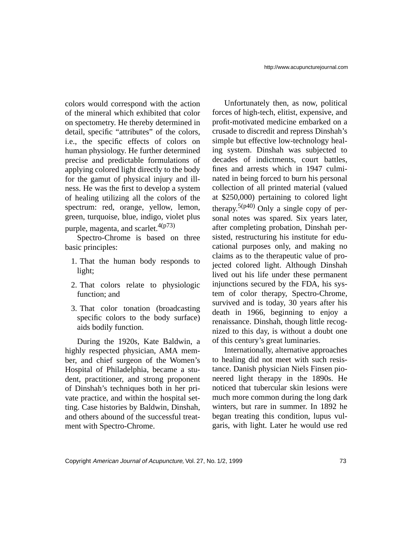colors would correspond with the action of the mineral which exhibited that color on spectometry. He thereby determined in detail, specific "attributes" of the colors, i.e., the specific effects of colors on human physiology. He further determined precise and predictable formulations of applying colored light directly to the body for the gamut of physical injury and illness. He was the first to develop a system of healing utilizing all the colors of the spectrum: red, orange, yellow, lemon, green, turquoise, blue, indigo, violet plus purple, magenta, and scarlet. $4(p73)$ 

Spectro-Chrome is based on three basic principles:

- 1. That the human body responds to light;
- 2. That colors relate to physiologic function; and
- 3. That color tonation (broadcasting specific colors to the body surface) aids bodily function.

During the 1920s, Kate Baldwin, a highly respected physician, AMA member, and chief surgeon of the Women's Hospital of Philadelphia, became a student, practitioner, and strong proponent of Dinshah's techniques both in her private practice, and within the hospital setting. Case histories by Baldwin, Dinshah, and others abound of the successful treatment with Spectro-Chrome.

Unfortunately then, as now, political forces of high-tech, elitist, expensive, and profit-motivated medicine embarked on a crusade to discredit and repress Dinshah's simple but effective low-technology healing system. Dinshah was subjected to decades of indictments, court battles, fines and arrests which in 1947 culminated in being forced to burn his personal collection of all printed material (valued at \$250,000) pertaining to colored light therapy.<sup>5(p40)</sup> Only a single copy of personal notes was spared. Six years later, after completing probation, Dinshah persisted, restructuring his institute for educational purposes only, and making no claims as to the therapeutic value of projected colored light. Although Dinshah lived out his life under these permanent injunctions secured by the FDA, his system of color therapy, Spectro-Chrome, survived and is today, 30 years after his death in 1966, beginning to enjoy a renaissance. Dinshah, though little recognized to this day, is without a doubt one of this century's great luminaries.

Internationally, alternative approaches to healing did not meet with such resistance. Danish physician Niels Finsen pioneered light therapy in the 1890s. He noticed that tubercular skin lesions were much more common during the long dark winters, but rare in summer. In 1892 he began treating this condition, lupus vulgaris, with light. Later he would use red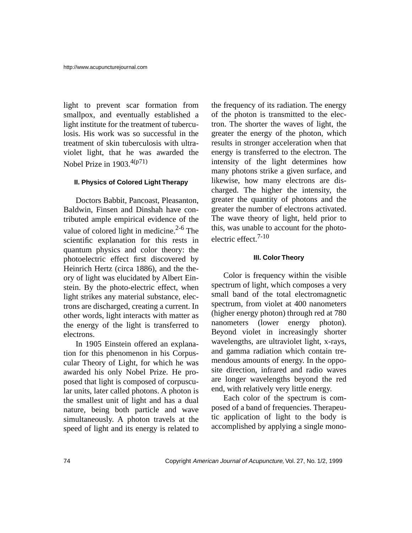light to prevent scar formation from smallpox, and eventually established a light institute for the treatment of tuberculosis. His work was so successful in the treatment of skin tuberculosis with ultraviolet light, that he was awarded the Nobel Prize in 1903.4(p71)

### **II. Physics of Colored Light Therapy**

Doctors Babbit, Pancoast, Pleasanton, Baldwin, Finsen and Dinshah have contributed ample empirical evidence of the value of colored light in medicine. $2-6$  The scientific explanation for this rests in quantum physics and color theory: the photoelectric effect first discovered by Heinrich Hertz (circa 1886), and the theory of light was elucidated by Albert Einstein. By the photo-electric effect, when light strikes any material substance, electrons are discharged, creating a current. In other words, light interacts with matter as the energy of the light is transferred to electrons.

In 1905 Einstein offered an explanation for this phenomenon in his Corpuscular Theory of Light, for which he was awarded his only Nobel Prize. He proposed that light is composed of corpuscular units, later called photons. A photon is the smallest unit of light and has a dual nature, being both particle and wave simultaneously. A photon travels at the speed of light and its energy is related to the frequency of its radiation. The energy of the photon is transmitted to the electron. The shorter the waves of light, the greater the energy of the photon, which results in stronger acceleration when that energy is transferred to the electron. The intensity of the light determines how many photons strike a given surface, and likewise, how many electrons are discharged. The higher the intensity, the greater the quantity of photons and the greater the number of electrons activated. The wave theory of light, held prior to this, was unable to account for the photoelectric effect.7-10

## **III. Color Theory**

Color is frequency within the visible spectrum of light, which composes a very small band of the total electromagnetic spectrum, from violet at 400 nanometers (higher energy photon) through red at 780 nanometers (lower energy photon). Beyond violet in increasingly shorter wavelengths, are ultraviolet light, x-rays, and gamma radiation which contain tremendous amounts of energy. In the opposite direction, infrared and radio waves are longer wavelengths beyond the red end, with relatively very little energy.

Each color of the spectrum is composed of a band of frequencies. Therapeutic application of light to the body is accomplished by applying a single mono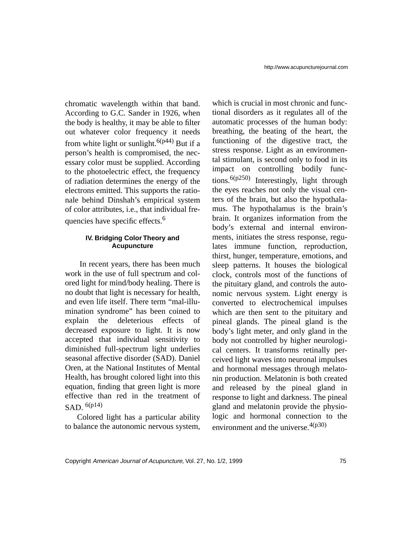chromatic wavelength within that band. According to G.C. Sander in 1926, when the body is healthy, it may be able to filter out whatever color frequency it needs from white light or sunlight.<sup>6(p44)</sup> But if a person's health is compromised, the necessary color must be supplied. According to the photoelectric effect, the frequency of radiation determines the energy of the electrons emitted. This supports the rationale behind Dinshah's empirical system of color attributes, i.e., that individual frequencies have specific effects.<sup>6</sup>

### **IV. Bridging Color Theory and Acupuncture**

 In recent years, there has been much work in the use of full spectrum and colored light for mind/body healing. There is no doubt that light is necessary for health, and even life itself. There term "mal-illumination syndrome" has been coined to explain the deleterious effects of decreased exposure to light. It is now accepted that individual sensitivity to diminished full-spectrum light underlies seasonal affective disorder (SAD). Daniel Oren, at the National Institutes of Mental Health, has brought colored light into this equation, finding that green light is more effective than red in the treatment of SAD $6(p14)$ 

Colored light has a particular ability to balance the autonomic nervous system,

which is crucial in most chronic and functional disorders as it regulates all of the automatic processes of the human body: breathing, the beating of the heart, the functioning of the digestive tract, the stress response. Light as an environmental stimulant, is second only to food in its impact on controlling bodily functions.6(p250) Interestingly, light through the eyes reaches not only the visual centers of the brain, but also the hypothalamus. The hypothalamus is the brain's brain. It organizes information from the body's external and internal environments, initiates the stress response, regulates immune function, reproduction, thirst, hunger, temperature, emotions, and sleep patterns. It houses the biological clock, controls most of the functions of the pituitary gland, and controls the autonomic nervous system. Light energy is converted to electrochemical impulses which are then sent to the pituitary and pineal glands. The pineal gland is the body's light meter, and only gland in the body not controlled by higher neurological centers. It transforms retinally perceived light waves into neuronal impulses and hormonal messages through melatonin production. Melatonin is both created and released by the pineal gland in response to light and darkness. The pineal gland and melatonin provide the physiologic and hormonal connection to the environment and the universe.  $4(p30)$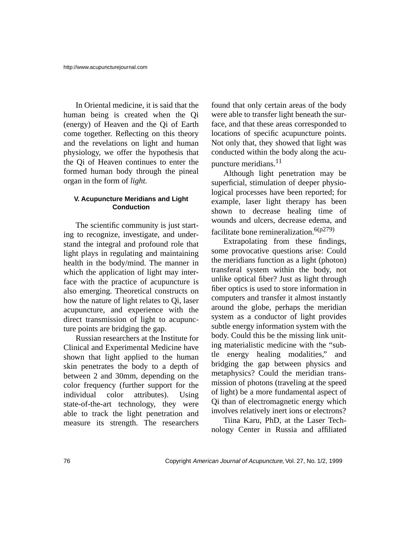In Oriental medicine, it is said that the human being is created when the Qi (energy) of Heaven and the Qi of Earth come together. Reflecting on this theory and the revelations on light and human physiology, we offer the hypothesis that the Qi of Heaven continues to enter the formed human body through the pineal organ in the form of *light.*

#### **V. Acupuncture Meridians and Light Conduction**

The scientific community is just starting to recognize, investigate, and understand the integral and profound role that light plays in regulating and maintaining health in the body/mind. The manner in which the application of light may interface with the practice of acupuncture is also emerging. Theoretical constructs on how the nature of light relates to Qi, laser acupuncture, and experience with the direct transmission of light to acupuncture points are bridging the gap.

Russian researchers at the Institute for Clinical and Experimental Medicine have shown that light applied to the human skin penetrates the body to a depth of between 2 and 30mm, depending on the color frequency (further support for the individual color attributes). Using state-of-the-art technology, they were able to track the light penetration and measure its strength. The researchers found that only certain areas of the body were able to transfer light beneath the surface, and that these areas corresponded to locations of specific acupuncture points. Not only that, they showed that light was conducted within the body along the acupuncture meridians.<sup>11</sup>

Although light penetration may be superficial, stimulation of deeper physiological processes have been reported; for example, laser light therapy has been shown to decrease healing time of wounds and ulcers, decrease edema, and facilitate bone remineralization.<sup>6(p279)</sup>

Extrapolating from these findings, some provocative questions arise: Could the meridians function as a light (photon) transferal system within the body, not unlike optical fiber? Just as light through fiber optics is used to store information in computers and transfer it almost instantly around the globe, perhaps the meridian system as a conductor of light provides subtle energy information system with the body. Could this be the missing link uniting materialistic medicine with the "subtle energy healing modalities," and bridging the gap between physics and metaphysics? Could the meridian transmission of photons (traveling at the speed of light) be a more fundamental aspect of Qi than of electromagnetic energy which involves relatively inert ions or electrons?

Tiina Karu, PhD, at the Laser Technology Center in Russia and affiliated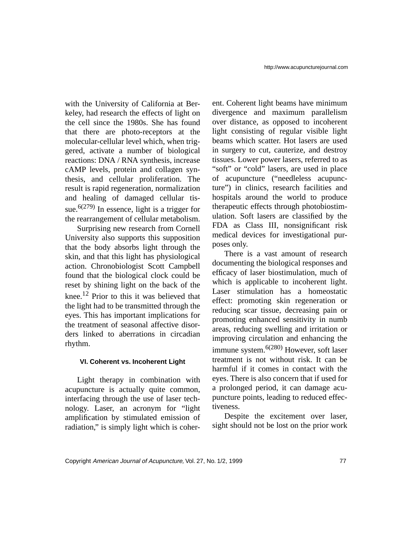with the University of California at Berkeley, had research the effects of light on the cell since the 1980s. She has found that there are photo-receptors at the molecular-cellular level which, when triggered, activate a number of biological reactions: DNA / RNA synthesis, increase cAMP levels, protein and collagen synthesis, and cellular proliferation. The result is rapid regeneration, normalization and healing of damaged cellular tissue.<sup>6(279)</sup> In essence, light is a trigger for the rearrangement of cellular metabolism.

Surprising new research from Cornell University also supports this supposition that the body absorbs light through the skin, and that this light has physiological action. Chronobiologist Scott Campbell found that the biological clock could be reset by shining light on the back of the knee.<sup>12</sup> Prior to this it was believed that the light had to be transmitted through the eyes. This has important implications for the treatment of seasonal affective disorders linked to aberrations in circadian rhythm.

### **VI. Coherent vs. Incoherent Light**

Light therapy in combination with acupuncture is actually quite common, interfacing through the use of laser technology. Laser, an acronym for "light amplification by stimulated emission of radiation," is simply light which is coherent. Coherent light beams have minimum divergence and maximum parallelism over distance, as opposed to incoherent light consisting of regular visible light beams which scatter. Hot lasers are used in surgery to cut, cauterize, and destroy tissues. Lower power lasers, referred to as "soft" or "cold" lasers, are used in place of acupuncture ("needleless acupuncture") in clinics, research facilities and hospitals around the world to produce therapeutic effects through photobiostimulation. Soft lasers are classified by the FDA as Class III, nonsignificant risk medical devices for investigational purposes only.

There is a vast amount of research documenting the biological responses and efficacy of laser biostimulation, much of which is applicable to incoherent light. Laser stimulation has a homeostatic effect: promoting skin regeneration or reducing scar tissue, decreasing pain or promoting enhanced sensitivity in numb areas, reducing swelling and irritation or improving circulation and enhancing the immune system.<sup> $6(280)$ </sup> However, soft laser treatment is not without risk. It can be harmful if it comes in contact with the eyes. There is also concern that if used for a prolonged period, it can damage acupuncture points, leading to reduced effectiveness.

Despite the excitement over laser, sight should not be lost on the prior work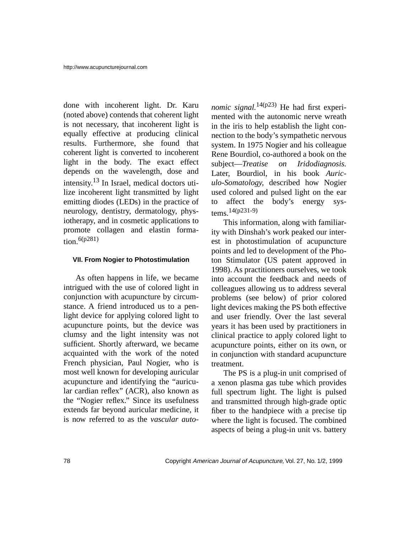done with incoherent light. Dr. Karu (noted above) contends that coherent light is not necessary, that incoherent light is equally effective at producing clinical results. Furthermore, she found that coherent light is converted to incoherent light in the body. The exact effect depends on the wavelength, dose and intensity.13 In Israel, medical doctors utilize incoherent light transmitted by light emitting diodes (LEDs) in the practice of neurology, dentistry, dermatology, physiotherapy, and in cosmetic applications to promote collagen and elastin formation.  $6(p281)$ 

### **VII. From Nogier to Photostimulation**

As often happens in life, we became intrigued with the use of colored light in conjunction with acupuncture by circumstance. A friend introduced us to a penlight device for applying colored light to acupuncture points, but the device was clumsy and the light intensity was not sufficient. Shortly afterward, we became acquainted with the work of the noted French physician, Paul Nogier, who is most well known for developing auricular acupuncture and identifying the "auricular cardian reflex" (ACR), also known as the "Nogier reflex." Since its usefulness extends far beyond auricular medicine, it is now referred to as the *vascular auto-*

*nomic signal.*<sup>14(p23)</sup> He had first experimented with the autonomic nerve wreath in the iris to help establish the light connection to the body's sympathetic nervous system. In 1975 Nogier and his colleague Rene Bourdiol, co-authored a book on the subject—*Treatise on Iridodiagnosis.* Later, Bourdiol, in his book *Auriculo-Somatology,* described how Nogier used colored and pulsed light on the ear to affect the body's energy systems.14(p231-9)

This information, along with familiarity with Dinshah's work peaked our interest in photostimulation of acupuncture points and led to development of the Photon Stimulator (US patent approved in 1998). As practitioners ourselves, we took into account the feedback and needs of colleagues allowing us to address several problems (see below) of prior colored light devices making the PS both effective and user friendly. Over the last several years it has been used by practitioners in clinical practice to apply colored light to acupuncture points, either on its own, or in conjunction with standard acupuncture treatment.

The PS is a plug-in unit comprised of a xenon plasma gas tube which provides full spectrum light. The light is pulsed and transmitted through high-grade optic fiber to the handpiece with a precise tip where the light is focused. The combined aspects of being a plug-in unit vs. battery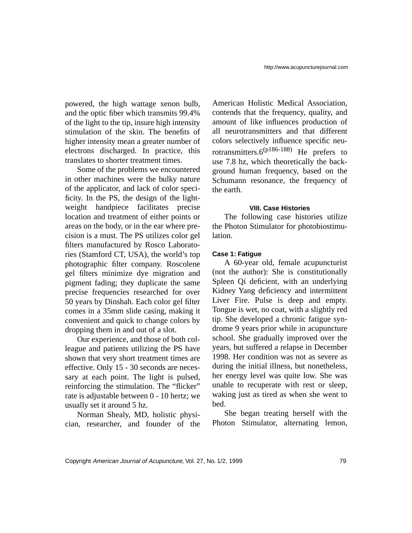powered, the high wattage xenon bulb, and the optic fiber which transmits 99.4% of the light to the tip, insure high intensity stimulation of the skin. The benefits of higher intensity mean a greater number of electrons discharged. In practice, this translates to shorter treatment times.

Some of the problems we encountered in other machines were the bulky nature of the applicator, and lack of color specificity. In the PS, the design of the lightweight handpiece facilitates precise location and treatment of either points or areas on the body, or in the ear where precision is a must. The PS utilizes color gel filters manufactured by Rosco Laboratories (Stamford CT, USA), the world's top photographic filter company. Roscolene gel filters minimize dye migration and pigment fading; they duplicate the same precise frequencies researched for over 50 years by Dinshah. Each color gel filter comes in a 35mm slide casing, making it convenient and quick to change colors by dropping them in and out of a slot.

Our experience, and those of both colleague and patients utilizing the PS have shown that very short treatment times are effective. Only 15 - 30 seconds are necessary at each point. The light is pulsed, reinforcing the stimulation. The "flicker" rate is adjustable between 0 - 10 hertz; we usually set it around 5 hz.

Norman Shealy, MD, holistic physician, researcher, and founder of the

American Holistic Medical Association, contends that the frequency, quality, and amount of like influences production of all neurotransmitters and that different colors selectively influence specific neurotransmitters. $6^{(p186-188)}$  He prefers to use 7.8 hz, which theoretically the background human frequency, based on the Schumann resonance, the frequency of the earth.

### **VIII. Case Histories**

The following case histories utilize the Photon Stimulator for photobiostimulation.

## **Case 1: Fatigue**

A 60-year old, female acupuncturist (not the author): She is constitutionally Spleen Qi deficient, with an underlying Kidney Yang deficiency and intermittent Liver Fire. Pulse is deep and empty. Tongue is wet, no coat, with a slightly red tip. She developed a chronic fatigue syndrome 9 years prior while in acupuncture school. She gradually improved over the years, but suffered a relapse in December 1998. Her condition was not as severe as during the initial illness, but nonetheless, her energy level was quite low. She was unable to recuperate with rest or sleep, waking just as tired as when she went to bed.

She began treating herself with the Photon Stimulator, alternating lemon,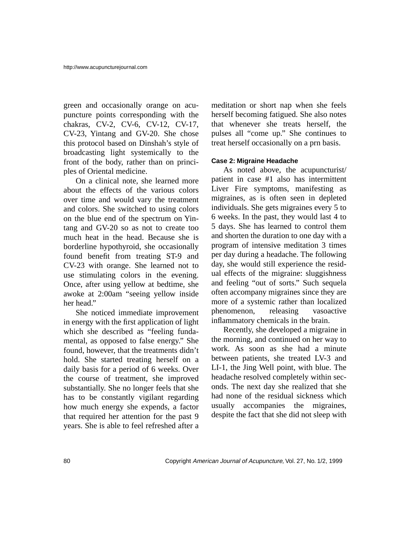green and occasionally orange on acupuncture points corresponding with the chakras, CV-2, CV-6, CV-12, CV-17, CV-23, Yintang and GV-20. She chose this protocol based on Dinshah's style of broadcasting light systemically to the front of the body, rather than on principles of Oriental medicine.

On a clinical note, she learned more about the effects of the various colors over time and would vary the treatment and colors. She switched to using colors on the blue end of the spectrum on Yintang and GV-20 so as not to create too much heat in the head. Because she is borderline hypothyroid, she occasionally found benefit from treating ST-9 and CV-23 with orange. She learned not to use stimulating colors in the evening. Once, after using yellow at bedtime, she awoke at 2:00am "seeing yellow inside her head."

She noticed immediate improvement in energy with the first application of light which she described as "feeling fundamental, as opposed to false energy." She found, however, that the treatments didn't hold. She started treating herself on a daily basis for a period of 6 weeks. Over the course of treatment, she improved substantially. She no longer feels that she has to be constantly vigilant regarding how much energy she expends, a factor that required her attention for the past 9 years. She is able to feel refreshed after a meditation or short nap when she feels herself becoming fatigued. She also notes that whenever she treats herself, the pulses all "come up." She continues to treat herself occasionally on a prn basis.

## **Case 2: Migraine Headache**

As noted above, the acupuncturist/ patient in case #1 also has intermittent Liver Fire symptoms, manifesting as migraines, as is often seen in depleted individuals. She gets migraines every 5 to 6 weeks. In the past, they would last 4 to 5 days. She has learned to control them and shorten the duration to one day with a program of intensive meditation 3 times per day during a headache. The following day, she would still experience the residual effects of the migraine: sluggishness and feeling "out of sorts." Such sequela often accompany migraines since they are more of a systemic rather than localized phenomenon, releasing vasoactive inflammatory chemicals in the brain.

Recently, she developed a migraine in the morning, and continued on her way to work. As soon as she had a minute between patients, she treated LV-3 and LI-1, the Jing Well point, with blue. The headache resolved completely within seconds. The next day she realized that she had none of the residual sickness which usually accompanies the migraines, despite the fact that she did not sleep with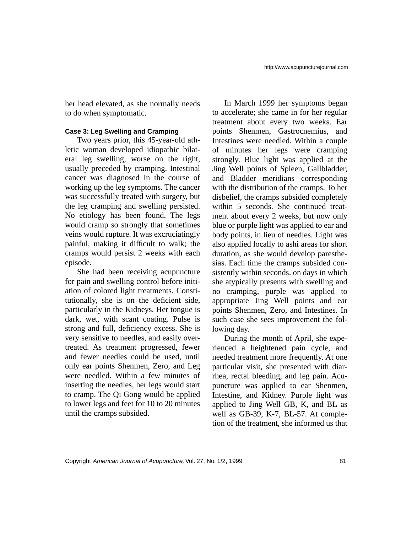her head elevated, as she normally needs to do when symptomatic.

## **Case 3: Leg Swelling and Cramping**

Two years prior, this 45-year-old athletic woman developed idiopathic bilateral leg swelling, worse on the right, usually preceded by cramping. Intestinal cancer was diagnosed in the course of working up the leg symptoms. The cancer was successfully treated with surgery, but the leg cramping and swelling persisted. No etiology has been found. The legs would cramp so strongly that sometimes veins would rupture. It was excruciatingly painful, making it difficult to walk; the cramps would persist 2 weeks with each episode.

She had been receiving acupuncture for pain and swelling control before initiation of colored light treatments. Constitutionally, she is on the deficient side, particularly in the Kidneys. Her tongue is dark, wet, with scant coating. Pulse is strong and full, deficiency excess. She is very sensitive to needles, and easily overtreated. As treatment progressed, fewer and fewer needles could be used, until only ear points Shenmen, Zero, and Leg were needled. Within a few minutes of inserting the needles, her legs would start to cramp. The Qi Gong would be applied to lower legs and feet for 10 to 20 minutes until the cramps subsided.

In March 1999 her symptoms began to accelerate; she came in for her regular treatment about every two weeks. Ear points Shenmen, Gastrocnemius, and Intestines were needled. Within a couple of minutes her legs were cramping strongly. Blue light was applied at the Jing Well points of Spleen, Gallbladder, and Bladder meridians corresponding with the distribution of the cramps. To her disbelief, the cramps subsided completely within 5 seconds. She continued treatment about every 2 weeks, but now only blue or purple light was applied to ear and body points, in lieu of needles. Light was also applied locally to ashi areas for short duration, as she would develop paresthesias. Each time the cramps subsided consistently within seconds. on days in which she atypically presents with swelling and no cramping, purple was applied to appropriate Jing Well points and ear points Shenmen, Zero, and Intestines. In such case she sees improvement the following day.

During the month of April, she experienced a heightened pain cycle, and needed treatment more frequently. At one particular visit, she presented with diarrhea, rectal bleeding, and leg pain. Acupuncture was applied to ear Shenmen, Intestine, and Kidney. Purple light was applied to Jing Well GB, K, and BL as well as GB-39, K-7, BL-57. At completion of the treatment, she informed us that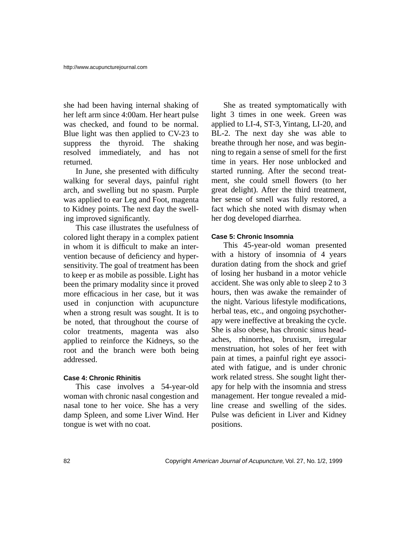she had been having internal shaking of her left arm since 4:00am. Her heart pulse was checked, and found to be normal. Blue light was then applied to CV-23 to suppress the thyroid. The shaking resolved immediately, and has not returned.

In June, she presented with difficulty walking for several days, painful right arch, and swelling but no spasm. Purple was applied to ear Leg and Foot, magenta to Kidney points. The next day the swelling improved significantly.

This case illustrates the usefulness of colored light therapy in a complex patient in whom it is difficult to make an intervention because of deficiency and hypersensitivity. The goal of treatment has been to keep er as mobile as possible. Light has been the primary modality since it proved more efficacious in her case, but it was used in conjunction with acupuncture when a strong result was sought. It is to be noted, that throughout the course of color treatments, magenta was also applied to reinforce the Kidneys, so the root and the branch were both being addressed.

## **Case 4: Chronic Rhinitis**

This case involves a 54-year-old woman with chronic nasal congestion and nasal tone to her voice. She has a very damp Spleen, and some Liver Wind. Her tongue is wet with no coat.

She as treated symptomatically with light 3 times in one week. Green was applied to LI-4, ST-3, Yintang, LI-20, and BL-2. The next day she was able to breathe through her nose, and was beginning to regain a sense of smell for the first time in years. Her nose unblocked and started running. After the second treatment, she could smell flowers (to her great delight). After the third treatment, her sense of smell was fully restored, a fact which she noted with dismay when her dog developed diarrhea.

### **Case 5: Chronic Insomnia**

This 45-year-old woman presented with a history of insomnia of 4 years duration dating from the shock and grief of losing her husband in a motor vehicle accident. She was only able to sleep 2 to 3 hours, then was awake the remainder of the night. Various lifestyle modifications, herbal teas, etc., and ongoing psychotherapy were ineffective at breaking the cycle. She is also obese, has chronic sinus headaches, rhinorrhea, bruxism, irregular menstruation, hot soles of her feet with pain at times, a painful right eye associated with fatigue, and is under chronic work related stress. She sought light therapy for help with the insomnia and stress management. Her tongue revealed a midline crease and swelling of the sides. Pulse was deficient in Liver and Kidney positions.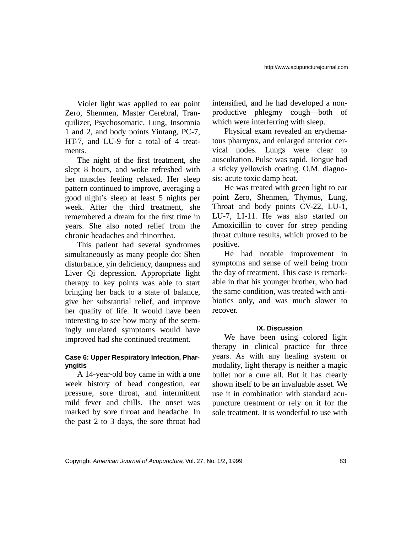Violet light was applied to ear point Zero, Shenmen, Master Cerebral, Tranquilizer, Psychosomatic, Lung, Insomnia 1 and 2, and body points Yintang, PC-7, HT-7, and LU-9 for a total of 4 treatments.

The night of the first treatment, she slept 8 hours, and woke refreshed with her muscles feeling relaxed. Her sleep pattern continued to improve, averaging a good night's sleep at least 5 nights per week. After the third treatment, she remembered a dream for the first time in years. She also noted relief from the chronic headaches and rhinorrhea.

This patient had several syndromes simultaneously as many people do: Shen disturbance, yin deficiency, dampness and Liver Qi depression. Appropriate light therapy to key points was able to start bringing her back to a state of balance, give her substantial relief, and improve her quality of life. It would have been interesting to see how many of the seemingly unrelated symptoms would have improved had she continued treatment.

## **Case 6: Upper Respiratory Infection, Pharyngitis**

A 14-year-old boy came in with a one week history of head congestion, ear pressure, sore throat, and intermittent mild fever and chills. The onset was marked by sore throat and headache. In the past 2 to 3 days, the sore throat had intensified, and he had developed a nonproductive phlegmy cough—both of which were interferring with sleep.

Physical exam revealed an erythematous pharnynx, and enlarged anterior cervical nodes. Lungs were clear to auscultation. Pulse was rapid. Tongue had a sticky yellowish coating. O.M. diagnosis: acute toxic damp heat.

He was treated with green light to ear point Zero, Shenmen, Thymus, Lung, Throat and body points CV-22, LU-1, LU-7, LI-11. He was also started on Amoxicillin to cover for strep pending throat culture results, which proved to be positive.

He had notable improvement in symptoms and sense of well being from the day of treatment. This case is remarkable in that his younger brother, who had the same condition, was treated with antibiotics only, and was much slower to recover.

### **IX. Discussion**

We have been using colored light therapy in clinical practice for three years. As with any healing system or modality, light therapy is neither a magic bullet nor a cure all. But it has clearly shown itself to be an invaluable asset. We use it in combination with standard acupuncture treatment or rely on it for the sole treatment. It is wonderful to use with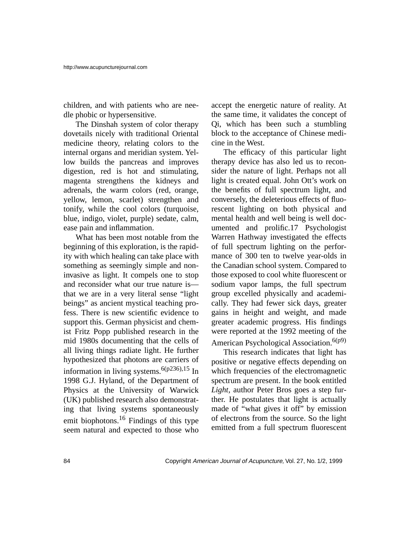children, and with patients who are needle phobic or hypersensitive.

The Dinshah system of color therapy dovetails nicely with traditional Oriental medicine theory, relating colors to the internal organs and meridian system. Yellow builds the pancreas and improves digestion, red is hot and stimulating, magenta strengthens the kidneys and adrenals, the warm colors (red, orange, yellow, lemon, scarlet) strengthen and tonify, while the cool colors (turquoise, blue, indigo, violet, purple) sedate, calm, ease pain and inflammation.

What has been most notable from the beginning of this exploration, is the rapidity with which healing can take place with something as seemingly simple and noninvasive as light. It compels one to stop and reconsider what our true nature is that we are in a very literal sense "light beings" as ancient mystical teaching profess. There is new scientific evidence to support this. German physicist and chemist Fritz Popp published research in the mid 1980s documenting that the cells of all living things radiate light. He further hypothesized that photons are carriers of information in living systems.<sup>6(p236),15</sup> In 1998 G.J. Hyland, of the Department of Physics at the University of Warwick (UK) published research also demonstrating that living systems spontaneously emit biophotons.<sup>16</sup> Findings of this type seem natural and expected to those who

accept the energetic nature of reality. At the same time, it validates the concept of Qi, which has been such a stumbling block to the acceptance of Chinese medicine in the West.

The efficacy of this particular light therapy device has also led us to reconsider the nature of light. Perhaps not all light is created equal. John Ott's work on the benefits of full spectrum light, and conversely, the deleterious effects of fluorescent lighting on both physical and mental health and well being is well documented and prolific.17 Psychologist Warren Hathway investigated the effects of full spectrum lighting on the performance of 300 ten to twelve year-olds in the Canadian school system. Compared to those exposed to cool white fluorescent or sodium vapor lamps, the full spectrum group excelled physically and academically. They had fewer sick days, greater gains in height and weight, and made greater academic progress. His findings were reported at the 1992 meeting of the American Psychological Association.<sup>6(p9)</sup>

This research indicates that light has positive or negative effects depending on which frequencies of the electromagnetic spectrum are present. In the book entitled *Light,* author Peter Bros goes a step further. He postulates that light is actually made of "what gives it off" by emission of electrons from the source. So the light emitted from a full spectrum fluorescent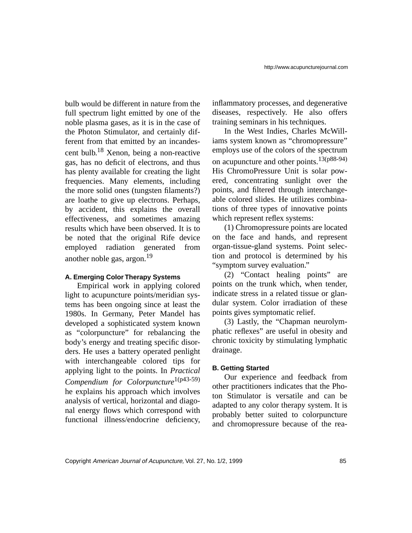bulb would be different in nature from the full spectrum light emitted by one of the noble plasma gases, as it is in the case of the Photon Stimulator, and certainly different from that emitted by an incandescent bulb.18 Xenon, being a non-reactive gas, has no deficit of electrons, and thus has plenty available for creating the light frequencies. Many elements, including the more solid ones (tungsten filaments?) are loathe to give up electrons. Perhaps, by accident, this explains the overall effectiveness, and sometimes amazing results which have been observed. It is to be noted that the original Rife device employed radiation generated from another noble gas, argon.19

# **A. Emerging Color Therapy Systems**

Empirical work in applying colored light to acupuncture points/meridian systems has been ongoing since at least the 1980s. In Germany, Peter Mandel has developed a sophisticated system known as "colorpuncture" for rebalancing the body's energy and treating specific disorders. He uses a battery operated penlight with interchangeable colored tips for applying light to the points. In *Practical Compendium for Colorpuncture*1(p43-59) he explains his approach which involves analysis of vertical, horizontal and diagonal energy flows which correspond with functional illness/endocrine deficiency, inflammatory processes, and degenerative diseases, respectively. He also offers training seminars in his techniques.

In the West Indies, Charles McWilliams system known as "chromopressure" employs use of the colors of the spectrum on acupuncture and other points.13(p88-94) His ChromoPressure Unit is solar powered, concentrating sunlight over the points, and filtered through interchangeable colored slides. He utilizes combinations of three types of innovative points which represent reflex systems:

(1) Chromopressure points are located on the face and hands, and represent organ-tissue-gland systems. Point selection and protocol is determined by his "symptom survey evaluation."

(2) "Contact healing points" are points on the trunk which, when tender, indicate stress in a related tissue or glandular system. Color irradiation of these points gives symptomatic relief.

(3) Lastly, the "Chapman neurolymphatic reflexes" are useful in obesity and chronic toxicity by stimulating lymphatic drainage.

# **B. Getting Started**

Our experience and feedback from other practitioners indicates that the Photon Stimulator is versatile and can be adapted to any color therapy system. It is probably better suited to colorpuncture and chromopressure because of the rea-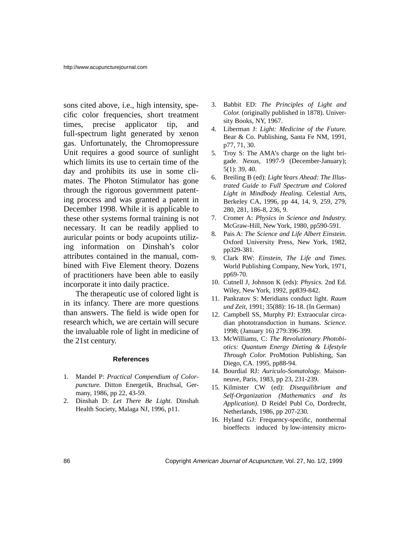sons cited above, i.e., high intensity, specific color frequencies, short treatment times, precise applicator tip, and full-spectrum light generated by xenon gas. Unfortunately, the Chromopressure Unit requires a good source of sunlight which limits its use to certain time of the day and prohibits its use in some climates. The Photon Stimulator has gone through the rigorous government patenting process and was granted a patent in December 1998. While it is applicable to these other systems formal training is not necessary. It can be readily applied to auricular points or body acupoints utilizing information on Dinshah's color attributes contained in the manual, combined with Five Element theory. Dozens of practitioners have been able to easily incorporate it into daily practice.

The therapeutic use of colored light is in its infancy. There are more questions than answers. The field is wide open for research which, we are certain will secure the invaluable role of light in medicine of the 21st century.

#### **References**

- 1. Mandel P: *Practical Compendium of Colorpuncture.* Ditton Energetik, Bruchsal, Germany, 1986, pp 22, 43-59.
- 2. Dinshah D: *Let There Be Light.* Dinshah Health Society, Malaga NJ, 1996, p11.
- 3. Babbit ED: *The Principles of Light and Color.* (originally published in 1878). University Books, NY, 1967.
- 4. Liberman J: *Light: Medicine of the Future.* Bear & Co. Publishing, Santa Fe NM, 1991, p77, 71, 30.
- 5. Troy S: The AMA's charge on the light brigade. *Nexus,* 1997-9 (December-January); 5(1): 39, 40.
- 6. Breiling B (ed): *Light Years Ahead: The Illustrated Guide to Full Spectrum and Colored Light in Mindbody Healing.* Celestial Arts, Berkeley CA, 1996, pp 44, 14, 9, 259, 279, 280, 281, 186-8, 236, 9.
- 7. Cromer A: *Physics in Science and Industry.* McGraw-Hill, New York, 1980, pp590-591.
- 8. Pais A: *The Science and Life Albert Einstein.* Oxford University Press, New York, 1982, pp329-381.
- 9. Clark RW: *Einstein, The Life and Times.* World Publishing Company, New York, 1971, pp69-70.
- 10. Cutnell J, Johnson K (eds): *Physics.* 2nd Ed. Wiley, New York, 1992, pp839-842.
- 11. Pankratov S: Meridians conduct light. *Raum und Zeit,* 1991; 35(88): 16-18. (In German)
- 12. Campbell SS, Murphy PJ: Extraocular circadian phototransduction in humans. *Science.* 1998; (January 16) 279:396-399.
- 13. McWilliams, C: *The Revolutionary Photobiotics: Quantum Energy Dieting & Lifestyle Through Color.* ProMotion Publishing, San Diego, CA. 1995, pp88-94.
- 14. Bourdial RJ: *Auriculo-Somatology.* Maisonneuve, Paris, 1983, pp 23, 231-239.
- 15. Kilmister CW (ed): *Disequilibrium and Self-Organization (Mathematics and Its Application).* D Reidel Publ Co, Dordrecht, Netherlands, 1986, pp 207-230.
- 16. Hyland GJ: Frequency-specific, nonthermal bioeffects induced by low-intensity micro-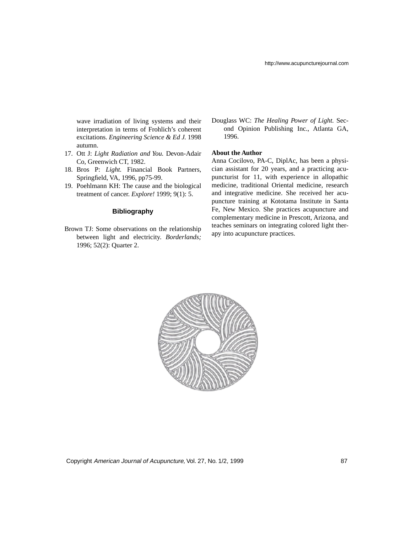wave irradiation of living systems and their interpretation in terms of Frohlich's coherent excitations. *Engineering Science & Ed J.* 1998 autumn.

- 17. Ott J: *Light Radiation and You.* Devon-Adair Co, Greenwich CT, 1982.
- 18. Bros P: *Light.* Financial Book Partners, Springfield, VA, 1996, pp75-99.
- 19. Poehlmann KH: The cause and the biological treatment of cancer. *Explore!* 1999; 9(1): 5.

#### **Bibliography**

Brown TJ: Some observations on the relationship between light and electricity. *Borderlands;* 1996; 52(2): Quarter 2.

Douglass WC: *The Healing Power of Light.* Second Opinion Publishing Inc., Atlanta GA, 1996.

#### **About the Author**

Anna Cocilovo, PA-C, DiplAc, has been a physician assistant for 20 years, and a practicing acupuncturist for 11, with experience in allopathic medicine, traditional Oriental medicine, research and integrative medicine. She received her acupuncture training at Kototama Institute in Santa Fe, New Mexico. She practices acupuncture and complementary medicine in Prescott, Arizona, and teaches seminars on integrating colored light therapy into acupuncture practices.